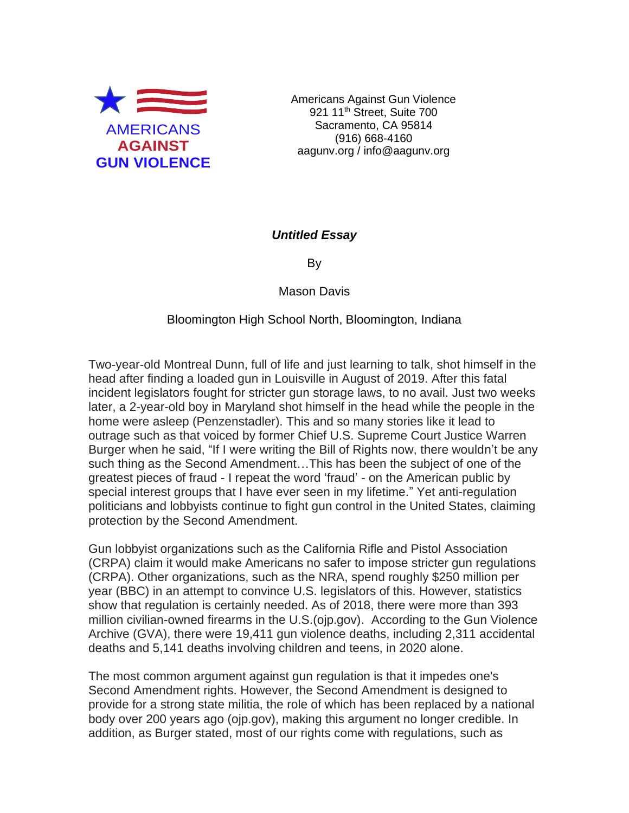

Americans Against Gun Violence 921 11<sup>th</sup> Street, Suite 700 Sacramento, CA 95814 (916) 668-4160 aagunv.org / info@aagunv.org

## *Untitled Essay*

By

Mason Davis

## Bloomington High School North, Bloomington, Indiana

Two-year-old Montreal Dunn, full of life and just learning to talk, shot himself in the head after finding a loaded gun in Louisville in August of 2019. After this fatal incident legislators fought for stricter gun storage laws, to no avail. Just two weeks later, a 2-year-old boy in Maryland shot himself in the head while the people in the home were asleep (Penzenstadler). This and so many stories like it lead to outrage such as that voiced by former Chief U.S. Supreme Court Justice Warren Burger when he said, "If I were writing the Bill of Rights now, there wouldn't be any such thing as the Second Amendment…This has been the subject of one of the greatest pieces of fraud - I repeat the word 'fraud' - on the American public by special interest groups that I have ever seen in my lifetime." Yet anti-regulation politicians and lobbyists continue to fight gun control in the United States, claiming protection by the Second Amendment.

Gun lobbyist organizations such as the California Rifle and Pistol Association (CRPA) claim it would make Americans no safer to impose stricter gun regulations (CRPA). Other organizations, such as the NRA, spend roughly \$250 million per year (BBC) in an attempt to convince U.S. legislators of this. However, statistics show that regulation is certainly needed. As of 2018, there were more than 393 million civilian-owned firearms in the U.S.(ojp.gov). According to the Gun Violence Archive (GVA), there were 19,411 gun violence deaths, including 2,311 accidental deaths and 5,141 deaths involving children and teens, in 2020 alone.

The most common argument against gun regulation is that it impedes one's Second Amendment rights. However, the Second Amendment is designed to provide for a strong state militia, the role of which has been replaced by a national body over 200 years ago (ojp.gov), making this argument no longer credible. In addition, as Burger stated, most of our rights come with regulations, such as